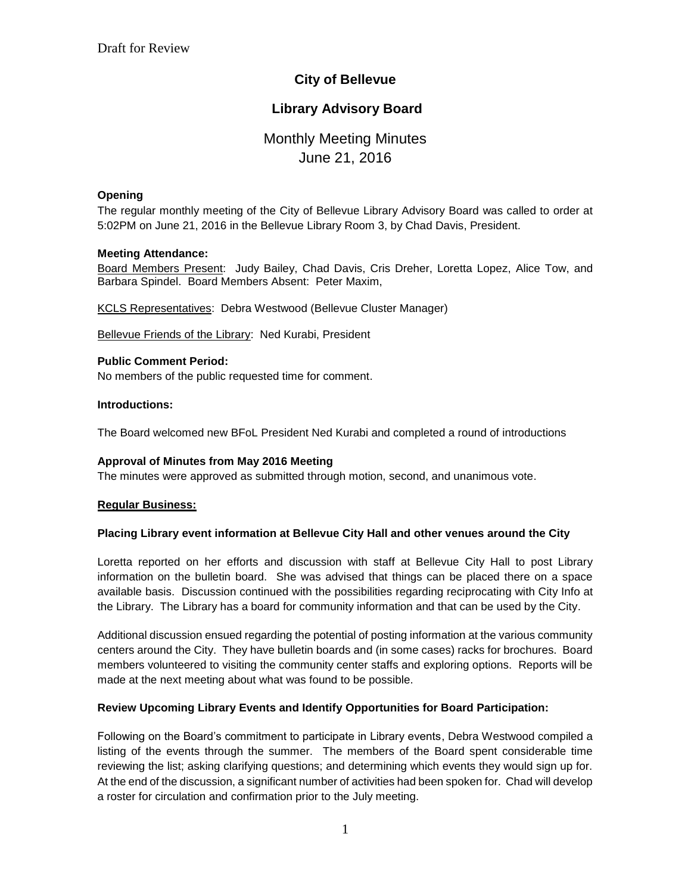# **City of Bellevue**

# **Library Advisory Board**

# Monthly Meeting Minutes June 21, 2016

#### **Opening**

The regular monthly meeting of the City of Bellevue Library Advisory Board was called to order at 5:02PM on June 21, 2016 in the Bellevue Library Room 3, by Chad Davis, President.

#### **Meeting Attendance:**

Board Members Present: Judy Bailey, Chad Davis, Cris Dreher, Loretta Lopez, Alice Tow, and Barbara Spindel. Board Members Absent: Peter Maxim,

KCLS Representatives: Debra Westwood (Bellevue Cluster Manager)

Bellevue Friends of the Library: Ned Kurabi, President

#### **Public Comment Period:**

No members of the public requested time for comment.

#### **Introductions:**

The Board welcomed new BFoL President Ned Kurabi and completed a round of introductions

#### **Approval of Minutes from May 2016 Meeting**

The minutes were approved as submitted through motion, second, and unanimous vote.

#### **Regular Business:**

#### **Placing Library event information at Bellevue City Hall and other venues around the City**

Loretta reported on her efforts and discussion with staff at Bellevue City Hall to post Library information on the bulletin board. She was advised that things can be placed there on a space available basis. Discussion continued with the possibilities regarding reciprocating with City Info at the Library. The Library has a board for community information and that can be used by the City.

Additional discussion ensued regarding the potential of posting information at the various community centers around the City. They have bulletin boards and (in some cases) racks for brochures. Board members volunteered to visiting the community center staffs and exploring options. Reports will be made at the next meeting about what was found to be possible.

#### **Review Upcoming Library Events and Identify Opportunities for Board Participation:**

Following on the Board's commitment to participate in Library events, Debra Westwood compiled a listing of the events through the summer. The members of the Board spent considerable time reviewing the list; asking clarifying questions; and determining which events they would sign up for. At the end of the discussion, a significant number of activities had been spoken for. Chad will develop a roster for circulation and confirmation prior to the July meeting.